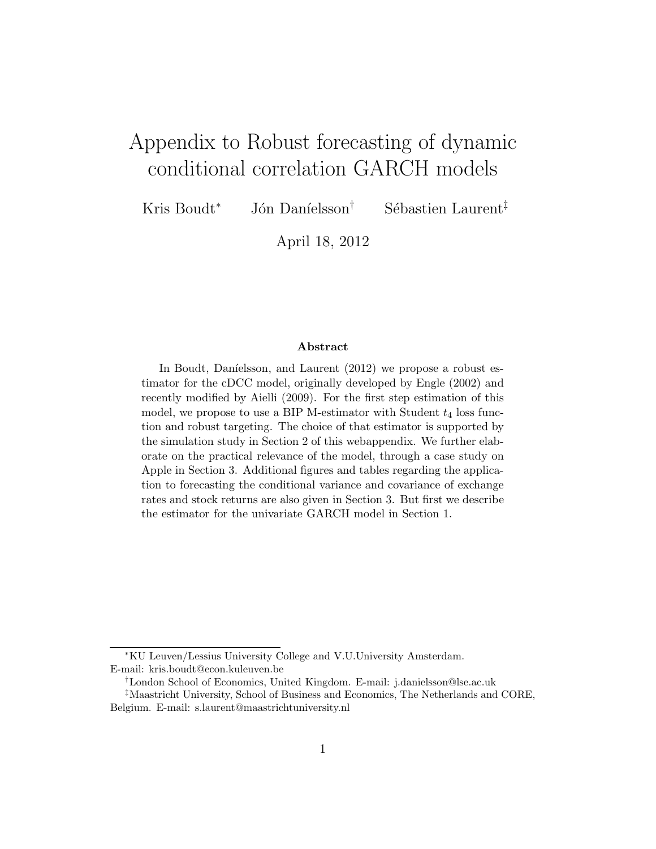# Appendix to Robust forecasting of dynamic conditional correlation GARCH models

Kris Boudt<sup>∗</sup> Jón Daníelsson<sup>†</sup> Sébastien Laurent<sup>‡</sup>

April 18, 2012

#### Abstract

In Boudt, Danielsson, and Laurent  $(2012)$  we propose a robust estimator for the cDCC model, originally developed by Engle (2002) and recently modified by Aielli (2009). For the first step estimation of this model, we propose to use a BIP M-estimator with Student  $t_4$  loss function and robust targeting. The choice of that estimator is supported by the simulation study in Section 2 of this webappendix. We further elaborate on the practical relevance of the model, through a case study on Apple in Section 3. Additional figures and tables regarding the application to forecasting the conditional variance and covariance of exchange rates and stock returns are also given in Section 3. But first we describe the estimator for the univariate GARCH model in Section 1.

<sup>∗</sup>KU Leuven/Lessius University College and V.U.University Amsterdam. E-mail: kris.boudt@econ.kuleuven.be

<sup>†</sup>London School of Economics, United Kingdom. E-mail: j.danielsson@lse.ac.uk

<sup>‡</sup>Maastricht University, School of Business and Economics, The Netherlands and CORE, Belgium. E-mail: s.laurent@maastrichtuniversity.nl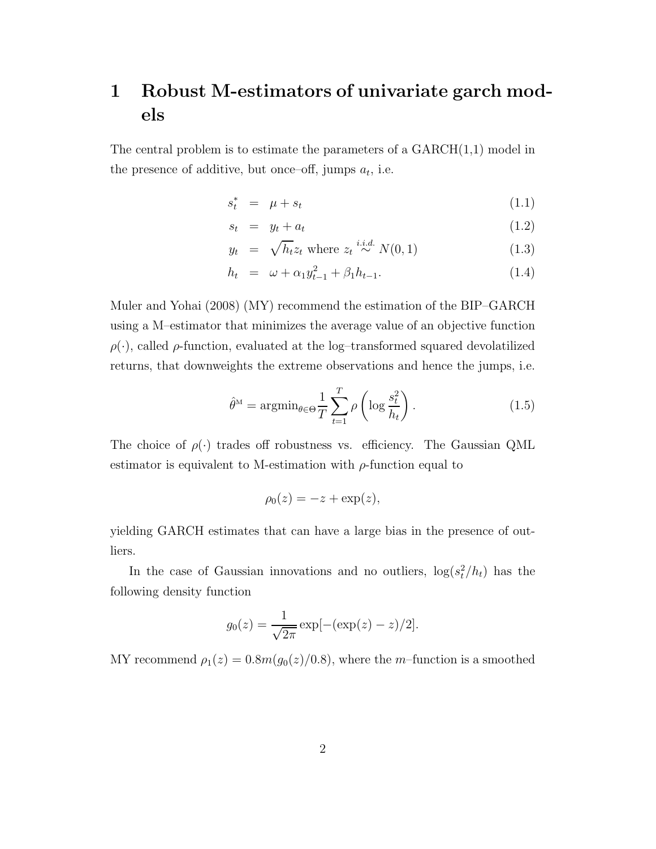## 1 Robust M-estimators of univariate garch models

The central problem is to estimate the parameters of a  $GARCH(1,1)$  model in the presence of additive, but once-off, jumps  $a_t$ , i.e.

$$
s_t^* = \mu + s_t \tag{1.1}
$$

$$
s_t = y_t + a_t \tag{1.2}
$$

$$
y_t = \sqrt{h_t} z_t \text{ where } z_t \stackrel{i.i.d.}{\sim} N(0, 1) \tag{1.3}
$$

$$
h_t = \omega + \alpha_1 y_{t-1}^2 + \beta_1 h_{t-1}.
$$
 (1.4)

Muler and Yohai (2008) (MY) recommend the estimation of the BIP–GARCH using a M–estimator that minimizes the average value of an objective function  $\rho(\cdot)$ , called  $\rho$ -function, evaluated at the log-transformed squared devolatilized returns, that downweights the extreme observations and hence the jumps, i.e.

$$
\hat{\theta}^{\mathcal{M}} = \operatorname{argmin}_{\theta \in \Theta} \frac{1}{T} \sum_{t=1}^{T} \rho \left( \log \frac{s_t^2}{h_t} \right). \tag{1.5}
$$

The choice of  $\rho(\cdot)$  trades off robustness vs. efficiency. The Gaussian QML estimator is equivalent to M-estimation with  $\rho$ -function equal to

$$
\rho_0(z) = -z + \exp(z),
$$

yielding GARCH estimates that can have a large bias in the presence of outliers.

In the case of Gaussian innovations and no outliers,  $\log(s_t^2/h_t)$  has the following density function

$$
g_0(z) = \frac{1}{\sqrt{2\pi}} \exp[-(\exp(z) - z)/2].
$$

MY recommend  $\rho_1(z) = 0.8m(g_0(z)/0.8)$ , where the *m*-function is a smoothed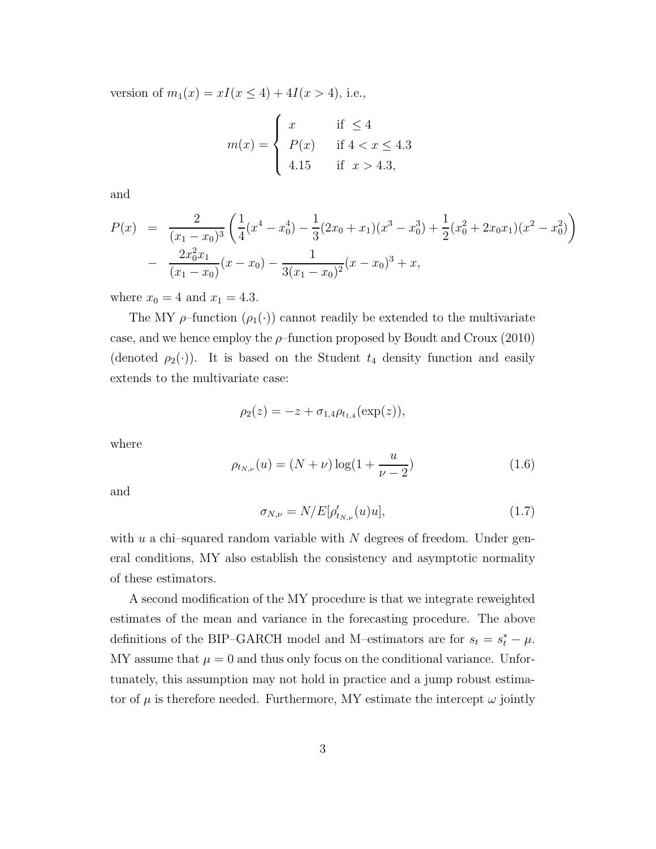version of  $m_1(x) = xI(x \le 4) + 4I(x > 4)$ , i.e.,

$$
m(x) = \begin{cases} x & \text{if } \le 4\\ P(x) & \text{if } 4 < x \le 4.3\\ 4.15 & \text{if } x > 4.3, \end{cases}
$$

and

$$
P(x) = \frac{2}{(x_1 - x_0)^3} \left( \frac{1}{4} (x^4 - x_0^4) - \frac{1}{3} (2x_0 + x_1)(x^3 - x_0^3) + \frac{1}{2} (x_0^2 + 2x_0 x_1)(x^2 - x_0^2) \right)
$$
  
- 
$$
\frac{2x_0^2 x_1}{(x_1 - x_0)} (x - x_0) - \frac{1}{3(x_1 - x_0)^2} (x - x_0)^3 + x,
$$

where  $x_0 = 4$  and  $x_1 = 4.3$ .

The MY  $\rho$ -function  $(\rho_1(\cdot))$  cannot readily be extended to the multivariate case, and we hence employ the  $\rho$ -function proposed by Boudt and Croux (2010) (denoted  $\rho_2(\cdot)$ ). It is based on the Student  $t_4$  density function and easily extends to the multivariate case:

$$
\rho_2(z) = -z + \sigma_{1,4} \rho_{t_{1,4}}(\exp(z)),
$$

where

$$
\rho_{t_{N,\nu}}(u) = (N+\nu)\log(1+\frac{u}{\nu-2})\tag{1.6}
$$

and

$$
\sigma_{N,\nu} = N/E[\rho'_{t_{N,\nu}}(u)u],\tag{1.7}
$$

with  $u$  a chi–squared random variable with  $N$  degrees of freedom. Under general conditions, MY also establish the consistency and asymptotic normality of these estimators.

A second modification of the MY procedure is that we integrate reweighted estimates of the mean and variance in the forecasting procedure. The above definitions of the BIP–GARCH model and M–estimators are for  $s_t = s_t^* - \mu$ .  $MY$  assume that  $\mu = 0$  and thus only focus on the conditional variance. Unfortunately, this assumption may not hold in practice and a jump robust estimator of  $\mu$  is therefore needed. Furthermore, MY estimate the intercept  $\omega$  jointly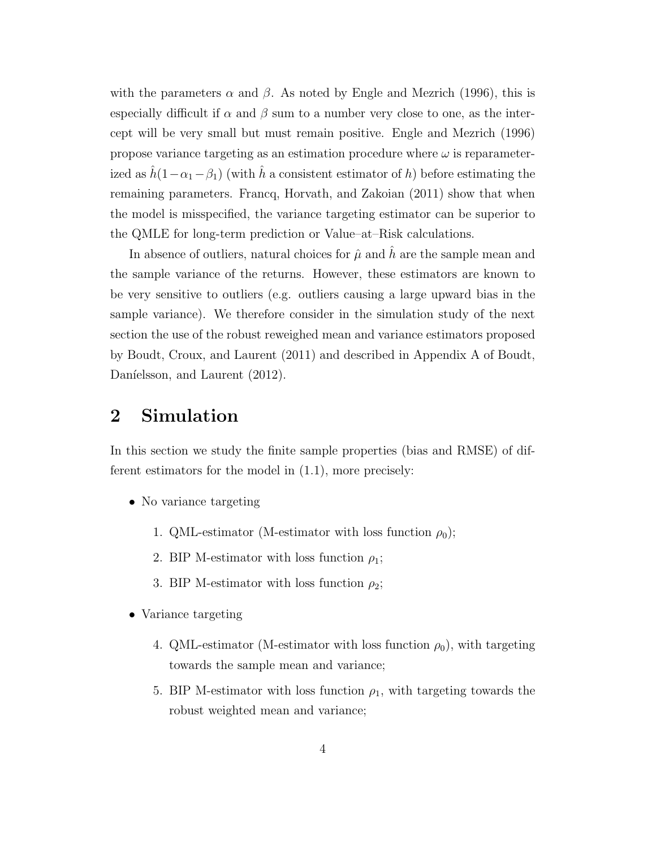with the parameters  $\alpha$  and  $\beta$ . As noted by Engle and Mezrich (1996), this is especially difficult if  $\alpha$  and  $\beta$  sum to a number very close to one, as the intercept will be very small but must remain positive. Engle and Mezrich (1996) propose variance targeting as an estimation procedure where  $\omega$  is reparameterized as  $\hat{h}(1-\alpha_1-\beta_1)$  (with  $\hat{h}$  a consistent estimator of h) before estimating the remaining parameters. Francq, Horvath, and Zakoian (2011) show that when the model is misspecified, the variance targeting estimator can be superior to the QMLE for long-term prediction or Value–at–Risk calculations.

In absence of outliers, natural choices for  $\hat{\mu}$  and  $\hat{h}$  are the sample mean and the sample variance of the returns. However, these estimators are known to be very sensitive to outliers (e.g. outliers causing a large upward bias in the sample variance). We therefore consider in the simulation study of the next section the use of the robust reweighed mean and variance estimators proposed by Boudt, Croux, and Laurent (2011) and described in Appendix A of Boudt, Daníelsson, and Laurent (2012).

## 2 Simulation

In this section we study the finite sample properties (bias and RMSE) of different estimators for the model in (1.1), more precisely:

- No variance targeting
	- 1. QML-estimator (M-estimator with loss function  $\rho_0$ );
	- 2. BIP M-estimator with loss function  $\rho_1$ ;
	- 3. BIP M-estimator with loss function  $\rho_2$ ;
- Variance targeting
	- 4. QML-estimator (M-estimator with loss function  $\rho_0$ ), with targeting towards the sample mean and variance;
	- 5. BIP M-estimator with loss function  $\rho_1$ , with targeting towards the robust weighted mean and variance;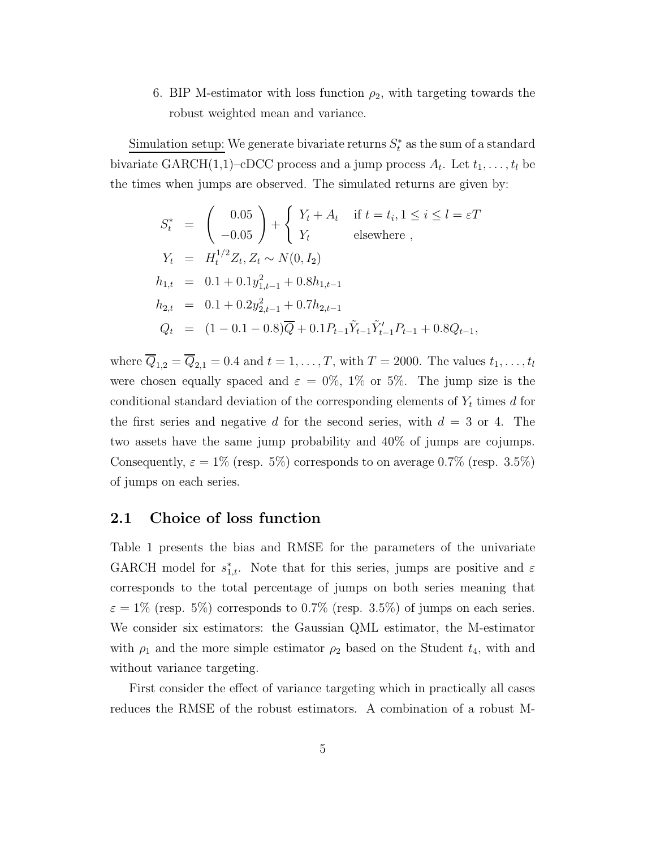6. BIP M-estimator with loss function  $\rho_2$ , with targeting towards the robust weighted mean and variance.

Simulation setup: We generate bivariate returns  $S_t^*$  as the sum of a standard bivariate GARCH $(1,1)$ –cDCC process and a jump process  $A_t$ . Let  $t_1, \ldots, t_l$  be the times when jumps are observed. The simulated returns are given by:

$$
S_t^* = \begin{pmatrix} 0.05 \\ -0.05 \end{pmatrix} + \begin{cases} Y_t + A_t & \text{if } t = t_i, 1 \le i \le l = \varepsilon T \\ Y_t & \text{elsewhere} \end{cases},
$$
  
\n
$$
Y_t = H_t^{1/2} Z_t, Z_t \sim N(0, I_2)
$$
  
\n
$$
h_{1,t} = 0.1 + 0.1 y_{1,t-1}^2 + 0.8 h_{1,t-1}
$$
  
\n
$$
h_{2,t} = 0.1 + 0.2 y_{2,t-1}^2 + 0.7 h_{2,t-1}
$$
  
\n
$$
Q_t = (1 - 0.1 - 0.8) \overline{Q} + 0.1 P_{t-1} \tilde{Y}_{t-1}^{\prime} \tilde{Y}_{t-1}^{\prime} P_{t-1} + 0.8 Q_{t-1},
$$

where  $\overline{Q}_{1,2} = \overline{Q}_{2,1} = 0.4$  and  $t = 1, \ldots, T$ , with  $T = 2000$ . The values  $t_1, \ldots, t_l$ were chosen equally spaced and  $\varepsilon = 0\%$ , 1% or 5%. The jump size is the conditional standard deviation of the corresponding elements of  $Y_t$  times d for the first series and negative d for the second series, with  $d = 3$  or 4. The two assets have the same jump probability and 40% of jumps are cojumps. Consequently,  $\varepsilon = 1\%$  (resp. 5%) corresponds to on average 0.7% (resp. 3.5%) of jumps on each series.

#### 2.1 Choice of loss function

Table 1 presents the bias and RMSE for the parameters of the univariate GARCH model for  $s_{1,t}^*$ . Note that for this series, jumps are positive and  $\varepsilon$ corresponds to the total percentage of jumps on both series meaning that  $\varepsilon = 1\%$  (resp. 5%) corresponds to 0.7% (resp. 3.5%) of jumps on each series. We consider six estimators: the Gaussian QML estimator, the M-estimator with  $\rho_1$  and the more simple estimator  $\rho_2$  based on the Student  $t_4$ , with and without variance targeting.

First consider the effect of variance targeting which in practically all cases reduces the RMSE of the robust estimators. A combination of a robust M-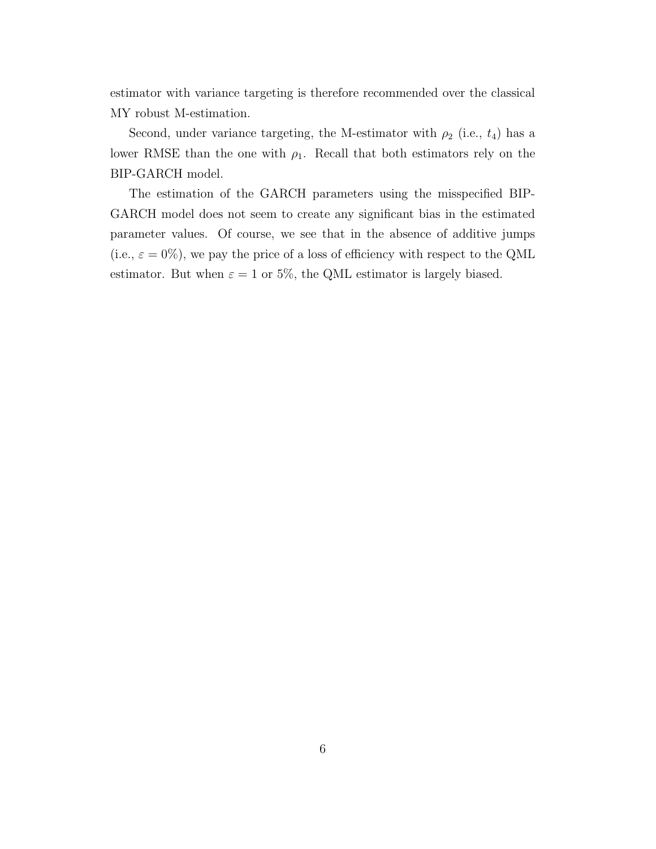estimator with variance targeting is therefore recommended over the classical MY robust M-estimation.

Second, under variance targeting, the M-estimator with  $\rho_2$  (i.e.,  $t_4$ ) has a lower RMSE than the one with  $\rho_1$ . Recall that both estimators rely on the BIP-GARCH model.

The estimation of the GARCH parameters using the misspecified BIP-GARCH model does not seem to create any significant bias in the estimated parameter values. Of course, we see that in the absence of additive jumps (i.e.,  $\varepsilon=0\%),$  we pay the price of a loss of efficiency with respect to the QML estimator. But when  $\varepsilon = 1$  or 5%, the QML estimator is largely biased.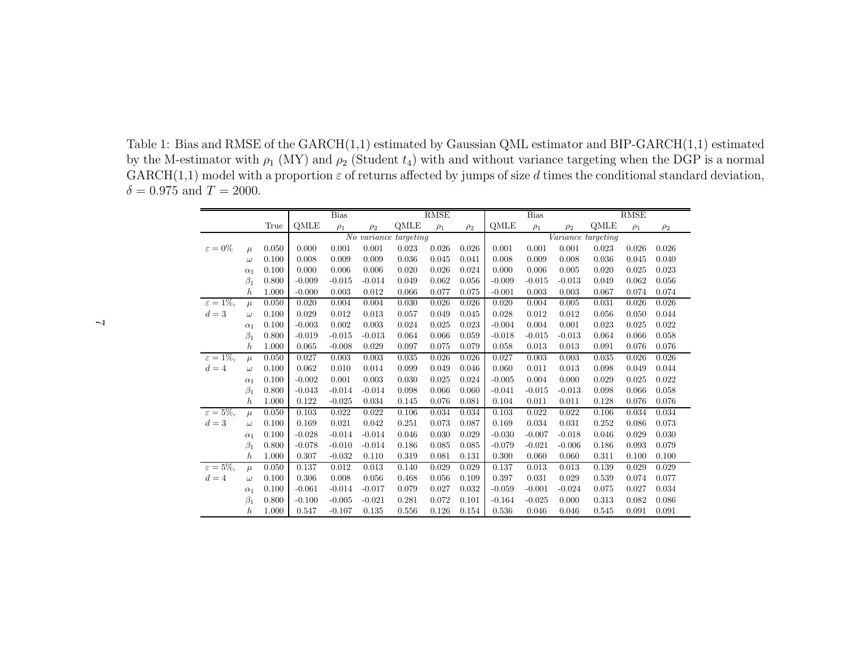Table 1: Bias and RMSE of the GARCH(1,1) estimated by Gaussian QML estimator and BIP-GARCH(1,1) estimatedby the M-estimator with  $\rho_1$  (MY) and  $\rho_2$  (Student  $t_4$ ) with and without variance targeting when the DGP is a normal  $\mathrm{GARCH}(1,1)$  model with a proportion  $\varepsilon$  of returns affected by jumps of size  $d$  times the conditional standard deviation,  $\delta = 0.975$  and  $T = 2000$ .

|                       |                  |       | <b>Bias</b><br><b>RMSE</b> |          |                          | <b>Bias</b> |          |          | <b>RMSE</b> |          |          |                    |          |          |
|-----------------------|------------------|-------|----------------------------|----------|--------------------------|-------------|----------|----------|-------------|----------|----------|--------------------|----------|----------|
|                       |                  | True  | QMLE                       | $\rho_1$ | $\rho_2$                 | QMLE        | $\rho_1$ | $\rho_2$ | QMLE        | $\rho_1$ | $\rho_2$ | QMLE               | $\rho_1$ | $\rho_2$ |
|                       |                  |       |                            |          | $\overline{No}$ variance | targeting   |          |          |             |          |          | Variance targeting |          |          |
| $\varepsilon = 0\%$   | $\mu$            | 0.050 | 0.000                      | 0.001    | 0.001                    | 0.023       | 0.026    | 0.026    | 0.001       | 0.001    | 0.001    | 0.023              | 0.026    | 0.026    |
|                       | $\omega$         | 0.100 | 0.008                      | 0.009    | 0.009                    | 0.036       | 0.045    | 0.041    | 0.008       | 0.009    | 0.008    | 0.036              | 0.045    | 0.040    |
|                       | $\alpha_1$       | 0.100 | 0.000                      | 0.006    | 0.006                    | 0.020       | 0.026    | 0.024    | 0.000       | 0.006    | 0.005    | 0.020              | 0.025    | 0.023    |
|                       | $\beta_1$        | 0.800 | $-0.009$                   | $-0.015$ | $-0.014$                 | 0.049       | 0.062    | 0.056    | $-0.009$    | $-0.015$ | $-0.013$ | 0.049              | 0.062    | 0.056    |
|                       | $\hbar$          | 1.000 | $-0.000$                   | 0.003    | 0.012                    | 0.066       | 0.077    | 0.075    | $-0.001$    | 0.003    | 0.003    | 0.067              | 0.074    | 0.074    |
| $\varepsilon = 1\%,$  | $\mu$            | 0.050 | 0.020                      | 0.004    | 0.004                    | 0.030       | 0.026    | 0.026    | 0.020       | 0.004    | 0.005    | 0.031              | 0.026    | 0.026    |
| $d=3$                 | $\omega$         | 0.100 | 0.029                      | 0.012    | 0.013                    | 0.057       | 0.049    | 0.045    | 0.028       | 0.012    | 0.012    | 0.056              | 0.050    | 0.044    |
|                       | $\alpha_1$       | 0.100 | $-0.003$                   | 0.002    | 0.003                    | 0.024       | 0.025    | 0.023    | $-0.004$    | 0.004    | 0.001    | 0.023              | 0.025    | 0.022    |
|                       | $\beta_1$        | 0.800 | $-0.019$                   | $-0.015$ | $-0.013$                 | 0.064       | 0.066    | 0.059    | $-0.018$    | $-0.015$ | $-0.013$ | 0.064              | 0.066    | 0.058    |
|                       | $\hbar$          | 1.000 | 0.065                      | $-0.008$ | 0.029                    | 0.097       | 0.075    | 0.079    | 0.058       | 0.013    | 0.013    | 0.091              | 0.076    | 0.076    |
| $\varepsilon = 1\%$ . | $\mu$            | 0.050 | 0.027                      | 0.003    | 0.003                    | 0.035       | 0.026    | 0.026    | 0.027       | 0.003    | 0.003    | 0.035              | 0.026    | 0.026    |
| $d=4$                 | $\omega$         | 0.100 | 0.062                      | 0.010    | 0.014                    | 0.099       | 0.049    | 0.046    | 0.060       | 0.011    | 0.013    | 0.098              | 0.049    | 0.044    |
|                       | $\alpha_1$       | 0.100 | $-0.002$                   | 0.001    | 0.003                    | 0.030       | 0.025    | 0.024    | $-0.005$    | 0.004    | 0.000    | 0.029              | 0.025    | 0.022    |
|                       | $\beta_1$        | 0.800 | $-0.043$                   | $-0.014$ | $-0.014$                 | 0.098       | 0.066    | 0.060    | $-0.041$    | $-0.015$ | $-0.013$ | 0.098              | 0.066    | 0.058    |
|                       | $\boldsymbol{h}$ | 1.000 | 0.122                      | $-0.025$ | 0.034                    | 0.145       | 0.076    | 0.081    | 0.104       | 0.011    | 0.011    | 0.128              | 0.076    | 0.076    |
| $\varepsilon = 5\%,$  | $\mu$            | 0.050 | 0.103                      | 0.022    | 0.022                    | 0.106       | 0.034    | 0.034    | 0.103       | 0.022    | 0.022    | 0.106              | 0.034    | 0.034    |
| $d=3$                 | $\omega$         | 0.100 | 0.169                      | 0.021    | 0.042                    | 0.251       | 0.073    | 0.087    | 0.169       | 0.034    | 0.031    | 0.252              | 0.086    | 0.073    |
|                       | $\alpha_1$       | 0.100 | $-0.028$                   | $-0.014$ | $-0.014$                 | 0.046       | 0.030    | 0.029    | $-0.030$    | $-0.007$ | $-0.018$ | 0.046              | 0.029    | 0.030    |
|                       | $\beta_1$        | 0.800 | $-0.078$                   | $-0.010$ | $-0.014$                 | 0.186       | 0.085    | 0.085    | $-0.079$    | $-0.021$ | $-0.006$ | 0.186              | 0.093    | 0.079    |
|                       | $\boldsymbol{h}$ | 1.000 | 0.307                      | $-0.032$ | 0.110                    | 0.319       | 0.081    | 0.131    | 0.300       | 0.060    | 0.060    | 0.311              | 0.100    | 0.100    |
| $\varepsilon = 5\%,$  | $\mu$            | 0.050 | 0.137                      | 0.012    | 0.013                    | 0.140       | 0.029    | 0.029    | 0.137       | 0.013    | 0.013    | 0.139              | 0.029    | 0.029    |
| $d=4$                 | $\omega$         | 0.100 | 0.306                      | 0.008    | 0.056                    | 0.468       | 0.056    | 0.109    | 0.397       | 0.031    | 0.029    | 0.539              | 0.074    | 0.077    |
|                       | $\alpha_1$       | 0.100 | $-0.061$                   | $-0.014$ | $-0.017$                 | 0.079       | 0.027    | 0.032    | $-0.059$    | $-0.001$ | $-0.024$ | 0.075              | 0.027    | 0.034    |
|                       | $\beta_1$        | 0.800 | $-0.100$                   | $-0.005$ | $-0.021$                 | 0.281       | 0.072    | 0.101    | $-0.164$    | $-0.025$ | 0.000    | 0.313              | 0.082    | 0.086    |
|                       | $\boldsymbol{h}$ | 1.000 | 0.547                      | $-0.107$ | 0.135                    | 0.556       | 0.126    | 0.154    | 0.536       | 0.046    | 0.046    | 0.545              | 0.091    | 0.091    |

 $\overline{\phantom{a}}$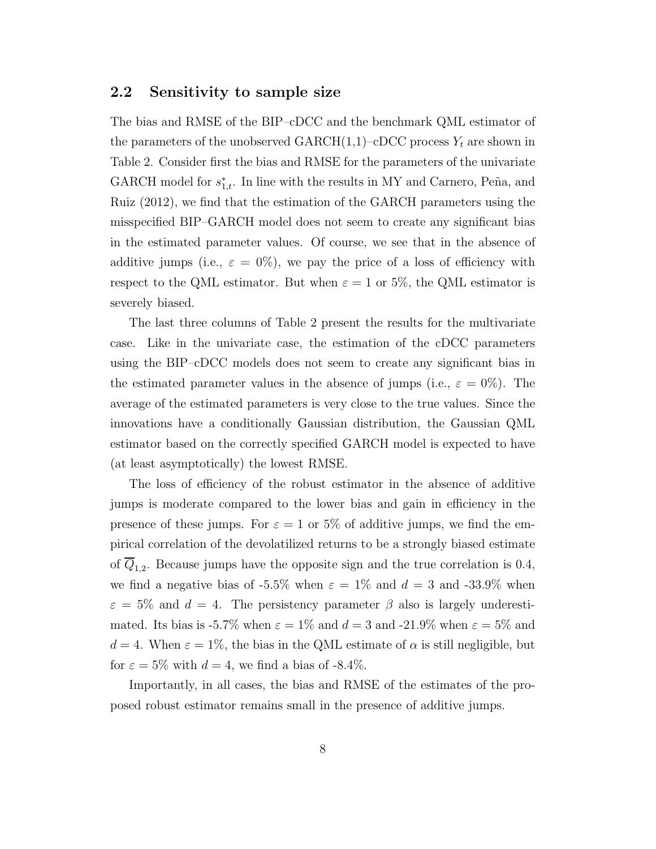#### 2.2 Sensitivity to sample size

The bias and RMSE of the BIP–cDCC and the benchmark QML estimator of the parameters of the unobserved  $\text{GARCH}(1,1)$ –cDCC process  $Y_t$  are shown in Table 2. Consider first the bias and RMSE for the parameters of the univariate GARCH model for  $s_{1,t}^*$ . In line with the results in MY and Carnero, Peña, and Ruiz (2012), we find that the estimation of the GARCH parameters using the misspecified BIP–GARCH model does not seem to create any significant bias in the estimated parameter values. Of course, we see that in the absence of additive jumps (i.e.,  $\varepsilon = 0\%$ ), we pay the price of a loss of efficiency with respect to the QML estimator. But when  $\varepsilon = 1$  or 5%, the QML estimator is severely biased.

The last three columns of Table 2 present the results for the multivariate case. Like in the univariate case, the estimation of the cDCC parameters using the BIP–cDCC models does not seem to create any significant bias in the estimated parameter values in the absence of jumps (i.e.,  $\varepsilon = 0\%$ ). The average of the estimated parameters is very close to the true values. Since the innovations have a conditionally Gaussian distribution, the Gaussian QML estimator based on the correctly specified GARCH model is expected to have (at least asymptotically) the lowest RMSE.

The loss of efficiency of the robust estimator in the absence of additive jumps is moderate compared to the lower bias and gain in efficiency in the presence of these jumps. For  $\varepsilon = 1$  or 5% of additive jumps, we find the empirical correlation of the devolatilized returns to be a strongly biased estimate of  $Q_{1,2}$ . Because jumps have the opposite sign and the true correlation is 0.4, we find a negative bias of -5.5% when  $\varepsilon = 1\%$  and  $d = 3$  and -33.9% when  $\varepsilon = 5\%$  and  $d = 4$ . The persistency parameter  $\beta$  also is largely underestimated. Its bias is -5.7% when  $\varepsilon = 1\%$  and  $d = 3$  and -21.9% when  $\varepsilon = 5\%$  and  $d = 4$ . When  $\varepsilon = 1\%$ , the bias in the QML estimate of  $\alpha$  is still negligible, but for  $\varepsilon = 5\%$  with  $d = 4$ , we find a bias of -8.4%.

Importantly, in all cases, the bias and RMSE of the estimates of the proposed robust estimator remains small in the presence of additive jumps.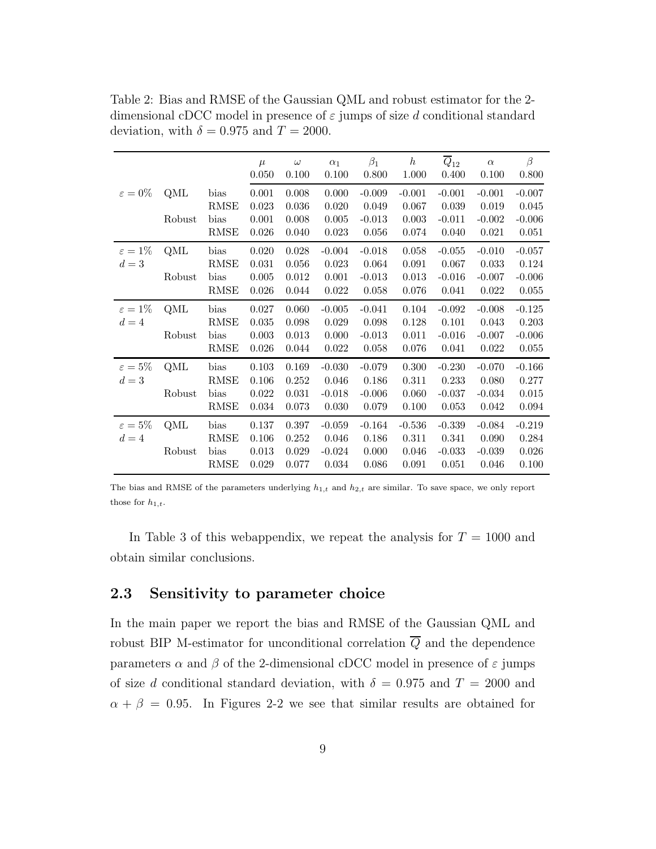Table 2: Bias and RMSE of the Gaussian QML and robust estimator for the 2 dimensional cDCC model in presence of  $\varepsilon$  jumps of size d conditional standard deviation, with  $\delta = 0.975$  and  $T = 2000$ .

|                     |        |                                    | $\mu$<br>0.050          | $\omega$<br>0.100       | $\alpha_1$<br>0.100     | $\beta_1$<br>0.800         | $h_{\parallel}$<br>1.000 | $\overline{Q}_{12}$<br>0.400 | $\alpha$<br>0.100          | $\beta$<br>0.800           |
|---------------------|--------|------------------------------------|-------------------------|-------------------------|-------------------------|----------------------------|--------------------------|------------------------------|----------------------------|----------------------------|
| $\varepsilon = 0\%$ | QML    | bias                               | 0.001                   | 0.008                   | 0.000                   | $-0.009$                   | $-0.001$                 | $-0.001$                     | $-0.001$                   | $-0.007$                   |
|                     | Robust | <b>RMSE</b><br>bias<br><b>RMSE</b> | 0.023<br>0.001<br>0.026 | 0.036<br>0.008<br>0.040 | 0.020<br>0.005<br>0.023 | 0.049<br>$-0.013$<br>0.056 | 0.067<br>0.003<br>0.074  | 0.039<br>$-0.011$<br>0.040   | 0.019<br>$-0.002$<br>0.021 | 0.045<br>$-0.006$<br>0.051 |
| $\varepsilon=1\%$   | QML    | bias                               | 0.020                   | $0.028\,$               | $-0.004$                | $-0.018$                   | 0.058                    | $-0.055$                     | $-0.010$                   | $-0.057$                   |
| $d=3$               |        | RMSE                               | 0.031                   | 0.056                   | 0.023                   | 0.064                      | 0.091                    | 0.067                        | 0.033                      | 0.124                      |
|                     | Robust | bias                               | 0.005                   | 0.012                   | 0.001                   | $-0.013$                   | 0.013                    | $-0.016$                     | $-0.007$                   | $-0.006$                   |
|                     |        | $\operatorname{RMSE}$              | 0.026                   | 0.044                   | 0.022                   | 0.058                      | 0.076                    | 0.041                        | 0.022                      | 0.055                      |
| $\varepsilon = 1\%$ | QML    | bias                               | 0.027                   | 0.060                   | $-0.005$                | $-0.041$                   | 0.104                    | $-0.092$                     | $-0.008$                   | $-0.125$                   |
| $d=4$               |        | <b>RMSE</b>                        | $\,0.035\,$             | 0.098                   | 0.029                   | 0.098                      | 0.128                    | 0.101                        | 0.043                      | 0.203                      |
|                     | Robust | bias<br><b>RMSE</b>                | 0.003<br>0.026          | 0.013<br>0.044          | 0.000<br>0.022          | $-0.013$<br>0.058          | 0.011<br>0.076           | $-0.016$<br>0.041            | $-0.007$<br>0.022          | $-0.006$<br>0.055          |
| $\varepsilon = 5\%$ | QML    | bias                               | 0.103                   | 0.169                   | $-0.030$                | $-0.079$                   | 0.300                    | $-0.230$                     | $-0.070$                   | $-0.166$                   |
| $d=3$               |        | <b>RMSE</b>                        | 0.106                   | 0.252                   | 0.046                   | 0.186                      | 0.311                    | 0.233                        | 0.080                      | 0.277                      |
|                     | Robust | bias                               | 0.022                   | 0.031                   | $-0.018$                | $-0.006$                   | 0.060                    | $-0.037$                     | $-0.034$                   | 0.015                      |
|                     |        | $\operatorname{RMSE}$              | 0.034                   | 0.073                   | 0.030                   | 0.079                      | 0.100                    | 0.053                        | 0.042                      | 0.094                      |
| $\varepsilon=5\%$   | QML    | bias                               | 0.137                   | 0.397                   | $-0.059$                | $-0.164$                   | $-0.536$                 | $-0.339$                     | $-0.084$                   | $-0.219$                   |
| $d=4$               |        | <b>RMSE</b>                        | 0.106                   | 0.252                   | 0.046                   | 0.186                      | 0.311                    | 0.341                        | 0.090                      | 0.284                      |
|                     | Robust | bias                               | 0.013                   | 0.029                   | $-0.024$                | 0.000                      | 0.046                    | $-0.033$                     | $-0.039$                   | 0.026                      |
|                     |        | <b>RMSE</b>                        | 0.029                   | 0.077                   | 0.034                   | 0.086                      | 0.091                    | 0.051                        | 0.046                      | 0.100                      |

The bias and RMSE of the parameters underlying  $h_{1,t}$  and  $h_{2,t}$  are similar. To save space, we only report those for  $h_{1,t}$ .

In Table 3 of this webappendix, we repeat the analysis for  $T = 1000$  and obtain similar conclusions.

#### 2.3 Sensitivity to parameter choice

In the main paper we report the bias and RMSE of the Gaussian QML and robust BIP M-estimator for unconditional correlation  $\overline{Q}$  and the dependence parameters  $\alpha$  and  $\beta$  of the 2-dimensional cDCC model in presence of  $\varepsilon$  jumps of size d conditional standard deviation, with  $\delta = 0.975$  and  $T = 2000$  and  $\alpha + \beta = 0.95$ . In Figures 2-2 we see that similar results are obtained for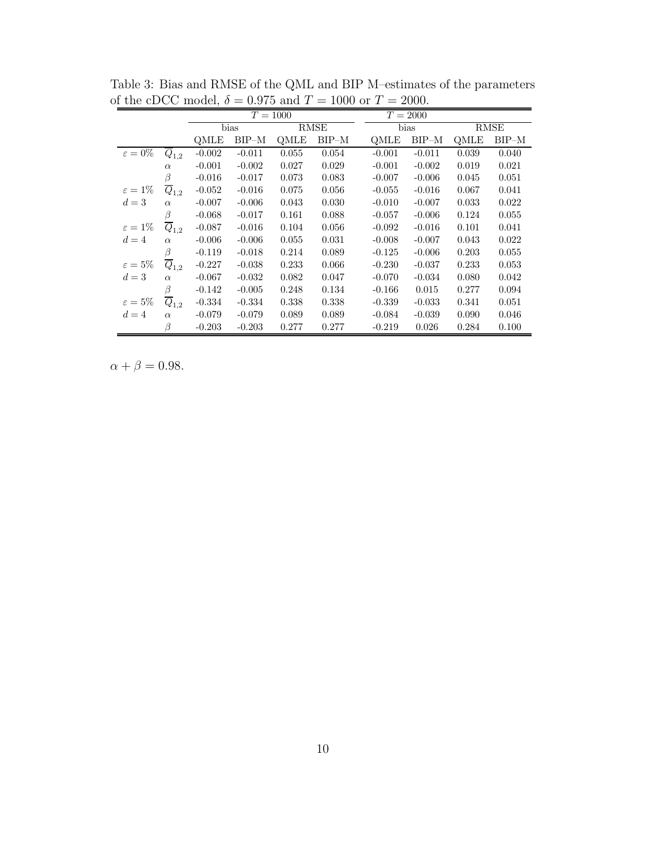|                     |                      |          |          | $T = 1000$ |         |          | $T = 2000$ |       |         |  |
|---------------------|----------------------|----------|----------|------------|---------|----------|------------|-------|---------|--|
|                     |                      |          | bias     |            | RMSE    |          | bias       | RMSE  |         |  |
|                     |                      | QMLE     | $BIP-M$  | QMLE       | $BIP-M$ | OMLE     | $BIP-M$    | QMLE  | $BIP-M$ |  |
| $\varepsilon = 0\%$ | $Q_{1,2}$            | $-0.002$ | $-0.011$ | 0.055      | 0.054   | $-0.001$ | $-0.011$   | 0.039 | 0.040   |  |
|                     | $\alpha$             | $-0.001$ | $-0.002$ | 0.027      | 0.029   | $-0.001$ | $-0.002$   | 0.019 | 0.021   |  |
|                     | β                    | $-0.016$ | $-0.017$ | 0.073      | 0.083   | $-0.007$ | $-0.006$   | 0.045 | 0.051   |  |
| $\varepsilon = 1\%$ | $\overline{Q}_{1,2}$ | $-0.052$ | $-0.016$ | 0.075      | 0.056   | $-0.055$ | $-0.016$   | 0.067 | 0.041   |  |
| $d=3$               | $\alpha$             | $-0.007$ | $-0.006$ | 0.043      | 0.030   | $-0.010$ | $-0.007$   | 0.033 | 0.022   |  |
|                     | β                    | $-0.068$ | $-0.017$ | 0.161      | 0.088   | $-0.057$ | $-0.006$   | 0.124 | 0.055   |  |
| $\varepsilon = 1\%$ | $\overline{Q}_{1,2}$ | $-0.087$ | $-0.016$ | 0.104      | 0.056   | $-0.092$ | $-0.016$   | 0.101 | 0.041   |  |
| $d=4$               | $\alpha$             | $-0.006$ | $-0.006$ | 0.055      | 0.031   | $-0.008$ | $-0.007$   | 0.043 | 0.022   |  |
|                     | β                    | $-0.119$ | $-0.018$ | 0.214      | 0.089   | $-0.125$ | $-0.006$   | 0.203 | 0.055   |  |
| $\varepsilon = 5\%$ | $\overline{Q}_{1,2}$ | $-0.227$ | $-0.038$ | 0.233      | 0.066   | $-0.230$ | $-0.037$   | 0.233 | 0.053   |  |
| $d=3$               | $\alpha$             | $-0.067$ | $-0.032$ | 0.082      | 0.047   | $-0.070$ | $-0.034$   | 0.080 | 0.042   |  |
|                     | β                    | $-0.142$ | $-0.005$ | 0.248      | 0.134   | $-0.166$ | 0.015      | 0.277 | 0.094   |  |
| $\varepsilon = 5\%$ | $\overline{Q}_{1,2}$ | $-0.334$ | $-0.334$ | 0.338      | 0.338   | $-0.339$ | $-0.033$   | 0.341 | 0.051   |  |
| $d=4$               | $\alpha$             | $-0.079$ | $-0.079$ | 0.089      | 0.089   | $-0.084$ | $-0.039$   | 0.090 | 0.046   |  |
|                     | B                    | $-0.203$ | $-0.203$ | 0.277      | 0.277   | $-0.219$ | 0.026      | 0.284 | 0.100   |  |

Table 3: Bias and RMSE of the QML and BIP M–estimates of the parameters of the cDCC model,  $\delta=0.975$  and  $T=1000$  or  $T=2000.$ 

 $\alpha + \beta = 0.98.$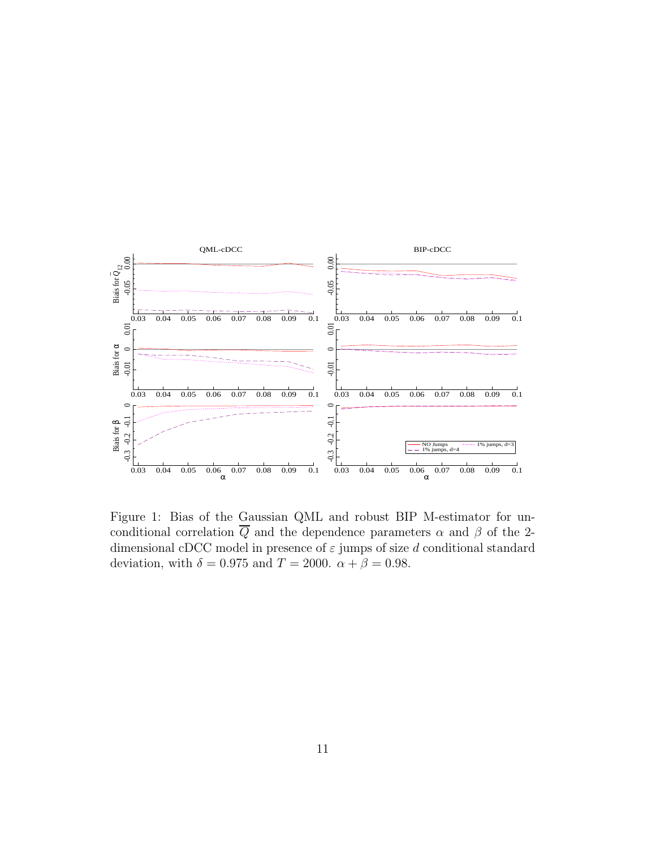

Figure 1: Bias of the Gaussian QML and robust BIP M-estimator for unconditional correlation  $\overline{Q}$  and the dependence parameters  $\alpha$  and  $\beta$  of the 2dimensional cDCC model in presence of  $\varepsilon$  jumps of size d conditional standard deviation, with  $\delta = 0.975$  and  $T = 2000$ .  $\alpha + \beta = 0.98$ .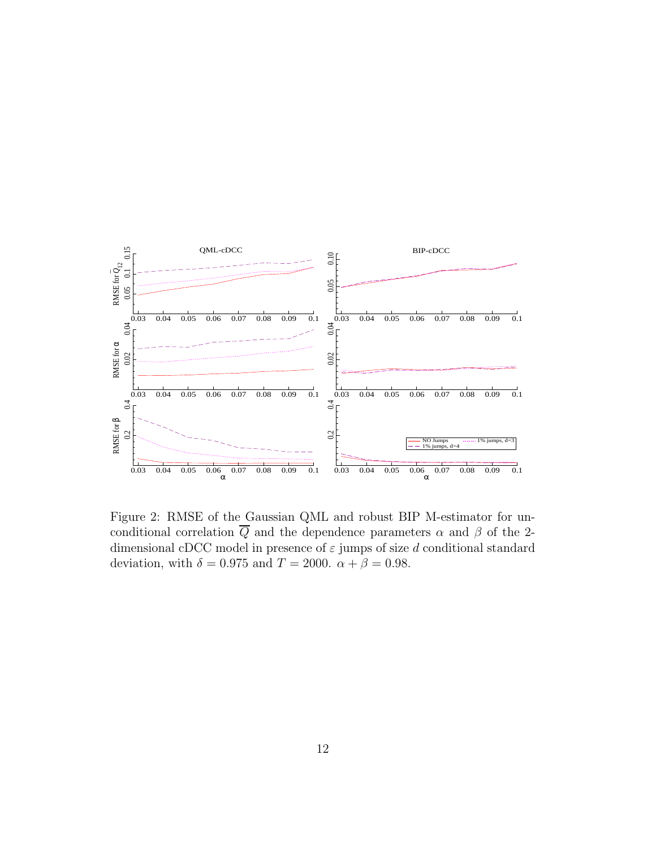

Figure 2: RMSE of the Gaussian QML and robust BIP M-estimator for unconditional correlation  $\overline{Q}$  and the dependence parameters  $\alpha$  and  $\beta$  of the 2dimensional cDCC model in presence of  $\varepsilon$  jumps of size d conditional standard deviation, with  $\delta = 0.975$  and  $T = 2000$ .  $\alpha + \beta = 0.98$ .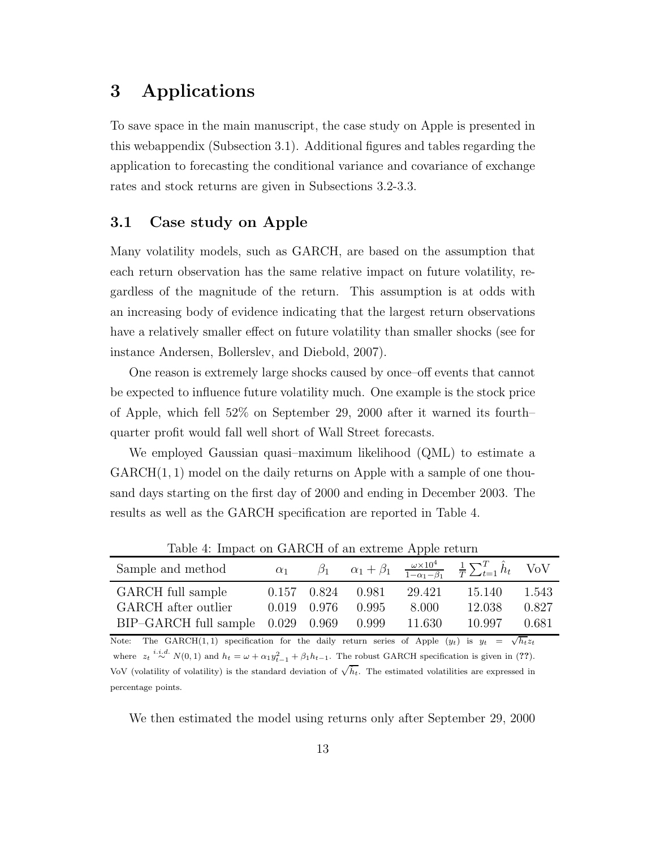## 3 Applications

To save space in the main manuscript, the case study on Apple is presented in this webappendix (Subsection 3.1). Additional figures and tables regarding the application to forecasting the conditional variance and covariance of exchange rates and stock returns are given in Subsections 3.2-3.3.

### 3.1 Case study on Apple

Many volatility models, such as GARCH, are based on the assumption that each return observation has the same relative impact on future volatility, regardless of the magnitude of the return. This assumption is at odds with an increasing body of evidence indicating that the largest return observations have a relatively smaller effect on future volatility than smaller shocks (see for instance Andersen, Bollerslev, and Diebold, 2007).

One reason is extremely large shocks caused by once–off events that cannot be expected to influence future volatility much. One example is the stock price of Apple, which fell 52% on September 29, 2000 after it warned its fourth– quarter profit would fall well short of Wall Street forecasts.

We employed Gaussian quasi–maximum likelihood (QML) to estimate a  $GARCH(1, 1)$  model on the daily returns on Apple with a sample of one thousand days starting on the first day of 2000 and ending in December 2003. The results as well as the GARCH specification are reported in Table 4.

| Sample and method                     | $\alpha_1$ | $\beta_1$     |       |        | $\alpha_1 + \beta_1 \quad \frac{\omega \times 10^4}{1 - \alpha_1 - \beta_1} \quad \frac{1}{T} \sum_{t=1}^T \hat{h}_t$ VoV |       |
|---------------------------------------|------------|---------------|-------|--------|---------------------------------------------------------------------------------------------------------------------------|-------|
| GARCH full sample                     |            | 0.157 0.824   | 0.981 | 29.421 | 15.140                                                                                                                    | 1.543 |
| GARCH after outlier                   |            | $0.019$ 0.976 | 0.995 | 8.000  | 12.038                                                                                                                    | 0.827 |
| $BIP-GARCH$ full sample $0.029$ 0.969 |            |               | 0.999 | 11.630 | 10.997                                                                                                                    | 0.681 |
|                                       |            |               |       |        |                                                                                                                           |       |

Table 4: Impact on GARCH of an extreme Apple return

Note: The GARCH(1,1) specification for the daily return series of Apple  $(y_t)$  is  $y_t = \sqrt{h_t} z_t$ where  $z_t \stackrel{i.i.d.}{\sim} N(0,1)$  and  $h_t = \omega + \alpha_1 y_{t-1}^2 + \beta_1 h_{t-1}$ . The robust GARCH specification is given in (??). VoV (volatility of volatility) is the standard deviation of  $\sqrt{\hat{h}_t}$ . The estimated volatilities are expressed in percentage points.

We then estimated the model using returns only after September 29, 2000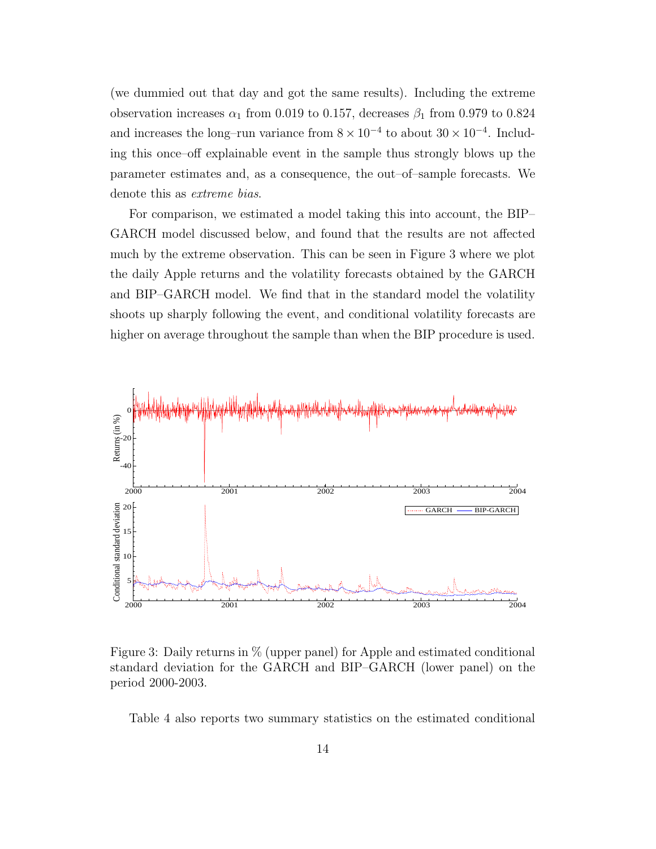(we dummied out that day and got the same results). Including the extreme observation increases  $\alpha_1$  from 0.019 to 0.157, decreases  $\beta_1$  from 0.979 to 0.824 and increases the long–run variance from  $8 \times 10^{-4}$  to about  $30 \times 10^{-4}$ . Including this once–off explainable event in the sample thus strongly blows up the parameter estimates and, as a consequence, the out–of–sample forecasts. We denote this as extreme bias.

For comparison, we estimated a model taking this into account, the BIP– GARCH model discussed below, and found that the results are not affected much by the extreme observation. This can be seen in Figure 3 where we plot the daily Apple returns and the volatility forecasts obtained by the GARCH and BIP–GARCH model. We find that in the standard model the volatility shoots up sharply following the event, and conditional volatility forecasts are higher on average throughout the sample than when the BIP procedure is used.



Figure 3: Daily returns in % (upper panel) for Apple and estimated conditional standard deviation for the GARCH and BIP–GARCH (lower panel) on the period 2000-2003.

Table 4 also reports two summary statistics on the estimated conditional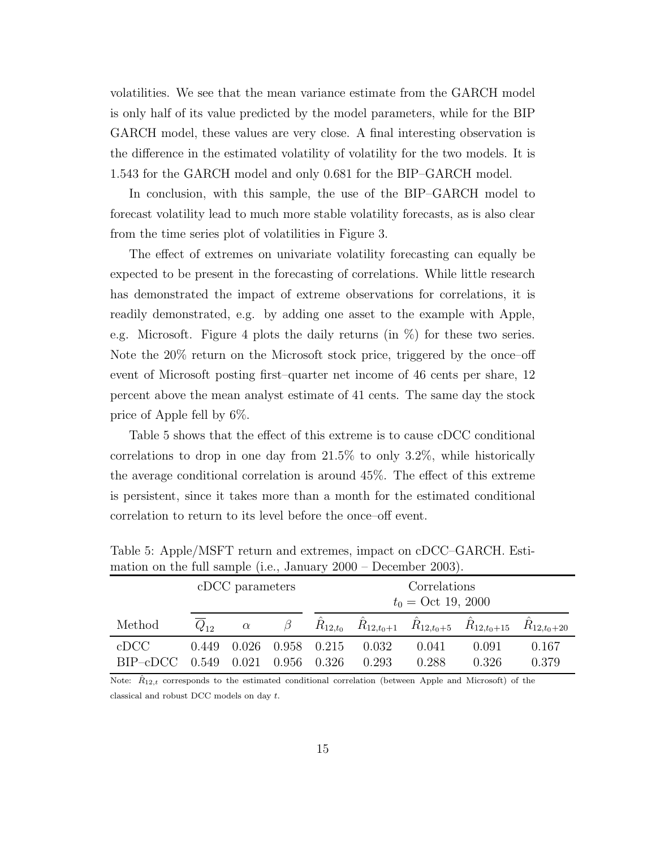volatilities. We see that the mean variance estimate from the GARCH model is only half of its value predicted by the model parameters, while for the BIP GARCH model, these values are very close. A final interesting observation is the difference in the estimated volatility of volatility for the two models. It is 1.543 for the GARCH model and only 0.681 for the BIP–GARCH model.

In conclusion, with this sample, the use of the BIP–GARCH model to forecast volatility lead to much more stable volatility forecasts, as is also clear from the time series plot of volatilities in Figure 3.

The effect of extremes on univariate volatility forecasting can equally be expected to be present in the forecasting of correlations. While little research has demonstrated the impact of extreme observations for correlations, it is readily demonstrated, e.g. by adding one asset to the example with Apple, e.g. Microsoft. Figure 4 plots the daily returns (in %) for these two series. Note the 20% return on the Microsoft stock price, triggered by the once–off event of Microsoft posting first–quarter net income of 46 cents per share, 12 percent above the mean analyst estimate of 41 cents. The same day the stock price of Apple fell by 6%.

Table 5 shows that the effect of this extreme is to cause cDCC conditional correlations to drop in one day from 21.5% to only 3.2%, while historically the average conditional correlation is around 45%. The effect of this extreme is persistent, since it takes more than a month for the estimated conditional correlation to return to its level before the once–off event.

|                  |                | cDCC parameters |                | Correlations<br>$t_0 = \text{Oct } 19, 2000$ |                |                |                                                            |                 |  |  |
|------------------|----------------|-----------------|----------------|----------------------------------------------|----------------|----------------|------------------------------------------------------------|-----------------|--|--|
| Method           | $Q_{12}$       | $\alpha$        |                |                                              |                |                | $R_{12,t_0}$ $R_{12,t_0+1}$ $R_{12,t_0+5}$ $R_{12,t_0+15}$ | $R_{12,t_0+20}$ |  |  |
| cDCC<br>BIP–cDCC | 0.449<br>0.549 | 0.026<br>0.021  | 0.958<br>0.956 | 0.215<br>0.326                               | 0.032<br>0.293 | 0.041<br>0.288 | 0.091<br>0.326                                             | 0.167<br>0.379  |  |  |

Table 5: Apple/MSFT return and extremes, impact on cDCC–GARCH. Estimation on the full sample (i.e., January 2000 – December 2003).

Note:  $\hat{R}_{12,t}$  corresponds to the estimated conditional correlation (between Apple and Microsoft) of the classical and robust DCC models on day t.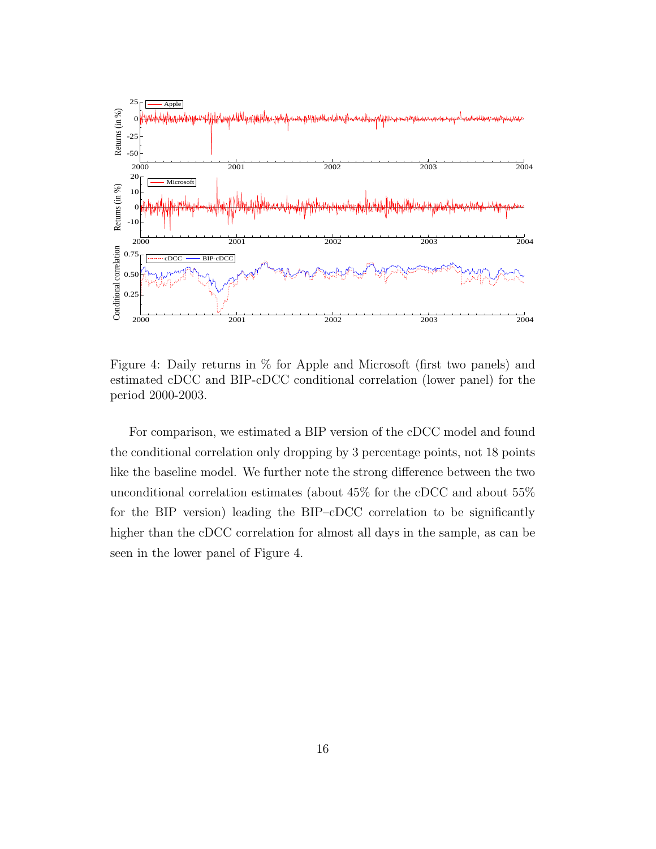

Figure 4: Daily returns in % for Apple and Microsoft (first two panels) and estimated cDCC and BIP-cDCC conditional correlation (lower panel) for the period 2000-2003.

For comparison, we estimated a BIP version of the cDCC model and found the conditional correlation only dropping by 3 percentage points, not 18 points like the baseline model. We further note the strong difference between the two unconditional correlation estimates (about 45% for the cDCC and about 55% for the BIP version) leading the BIP–cDCC correlation to be significantly higher than the cDCC correlation for almost all days in the sample, as can be seen in the lower panel of Figure 4.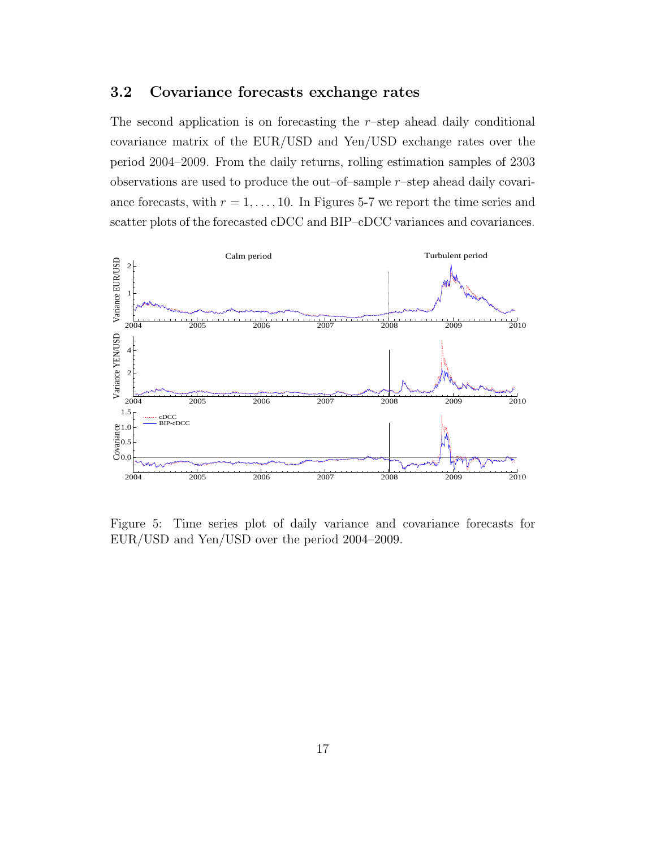#### 3.2 Covariance forecasts exchange rates

The second application is on forecasting the  $r$ -step ahead daily conditional covariance matrix of the EUR/USD and Yen/USD exchange rates over the period 2004–2009. From the daily returns, rolling estimation samples of 2303 observations are used to produce the out–of–sample  $r$ –step ahead daily covariance forecasts, with  $r = 1, \ldots, 10$ . In Figures 5-7 we report the time series and scatter plots of the forecasted cDCC and BIP–cDCC variances and covariances.



Figure 5: Time series plot of daily variance and covariance forecasts for EUR/USD and Yen/USD over the period 2004–2009.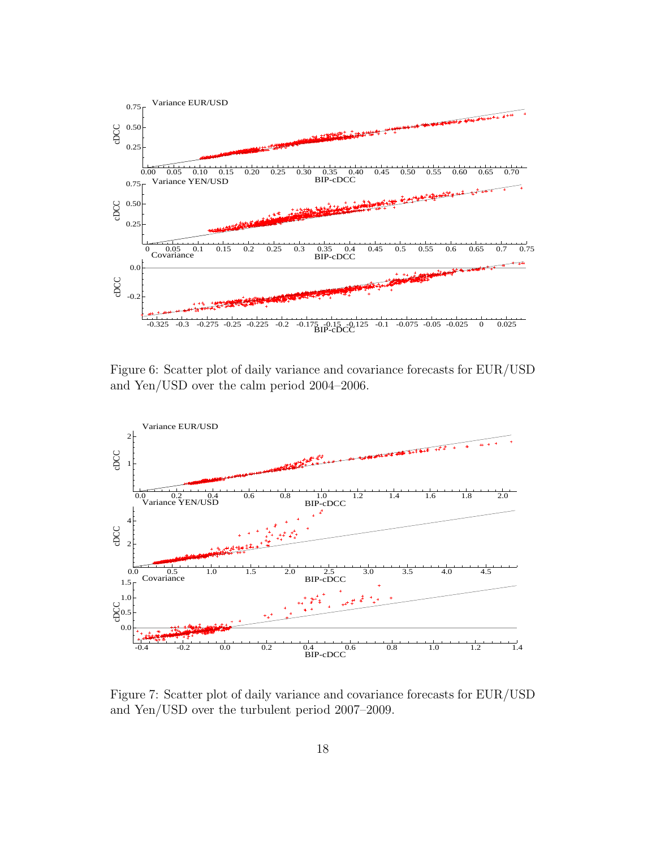

Figure 6: Scatter plot of daily variance and covariance forecasts for EUR/USD and Yen/USD over the calm period 2004–2006.



Figure 7: Scatter plot of daily variance and covariance forecasts for EUR/USD and Yen/USD over the turbulent period 2007–2009.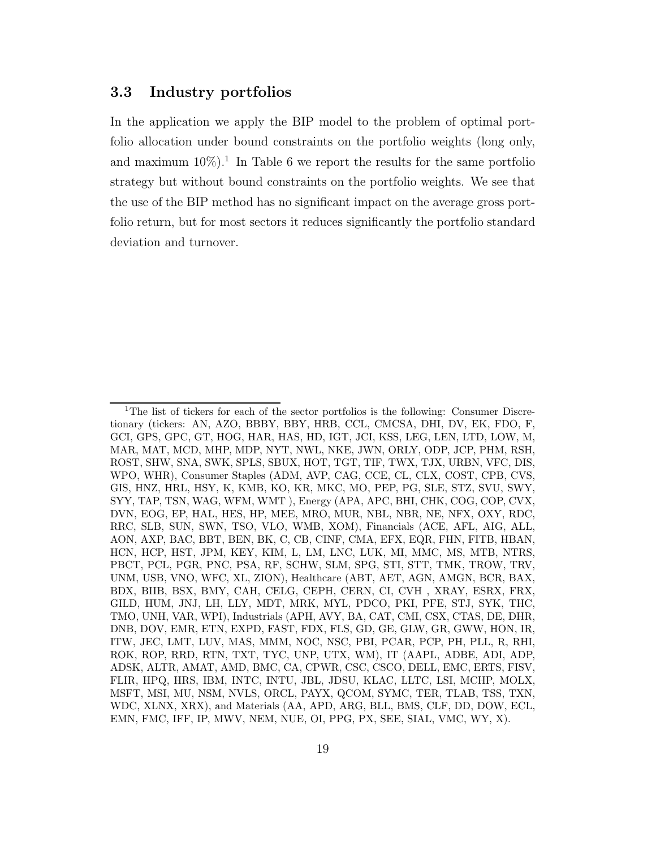#### 3.3 Industry portfolios

In the application we apply the BIP model to the problem of optimal portfolio allocation under bound constraints on the portfolio weights (long only, and maximum  $10\%)$ <sup>1</sup>. In Table 6 we report the results for the same portfolio strategy but without bound constraints on the portfolio weights. We see that the use of the BIP method has no significant impact on the average gross portfolio return, but for most sectors it reduces significantly the portfolio standard deviation and turnover.

<sup>&</sup>lt;sup>1</sup>The list of tickers for each of the sector portfolios is the following: Consumer Discretionary (tickers: AN, AZO, BBBY, BBY, HRB, CCL, CMCSA, DHI, DV, EK, FDO, F, GCI, GPS, GPC, GT, HOG, HAR, HAS, HD, IGT, JCI, KSS, LEG, LEN, LTD, LOW, M, MAR, MAT, MCD, MHP, MDP, NYT, NWL, NKE, JWN, ORLY, ODP, JCP, PHM, RSH, ROST, SHW, SNA, SWK, SPLS, SBUX, HOT, TGT, TIF, TWX, TJX, URBN, VFC, DIS, WPO, WHR), Consumer Staples (ADM, AVP, CAG, CCE, CL, CLX, COST, CPB, CVS, GIS, HNZ, HRL, HSY, K, KMB, KO, KR, MKC, MO, PEP, PG, SLE, STZ, SVU, SWY, SYY, TAP, TSN, WAG, WFM, WMT ), Energy (APA, APC, BHI, CHK, COG, COP, CVX, DVN, EOG, EP, HAL, HES, HP, MEE, MRO, MUR, NBL, NBR, NE, NFX, OXY, RDC, RRC, SLB, SUN, SWN, TSO, VLO, WMB, XOM), Financials (ACE, AFL, AIG, ALL, AON, AXP, BAC, BBT, BEN, BK, C, CB, CINF, CMA, EFX, EQR, FHN, FITB, HBAN, HCN, HCP, HST, JPM, KEY, KIM, L, LM, LNC, LUK, MI, MMC, MS, MTB, NTRS, PBCT, PCL, PGR, PNC, PSA, RF, SCHW, SLM, SPG, STI, STT, TMK, TROW, TRV, UNM, USB, VNO, WFC, XL, ZION), Healthcare (ABT, AET, AGN, AMGN, BCR, BAX, BDX, BIIB, BSX, BMY, CAH, CELG, CEPH, CERN, CI, CVH , XRAY, ESRX, FRX, GILD, HUM, JNJ, LH, LLY, MDT, MRK, MYL, PDCO, PKI, PFE, STJ, SYK, THC, TMO, UNH, VAR, WPI), Industrials (APH, AVY, BA, CAT, CMI, CSX, CTAS, DE, DHR, DNB, DOV, EMR, ETN, EXPD, FAST, FDX, FLS, GD, GE, GLW, GR, GWW, HON, IR, ITW, JEC, LMT, LUV, MAS, MMM, NOC, NSC, PBI, PCAR, PCP, PH, PLL, R, RHI, ROK, ROP, RRD, RTN, TXT, TYC, UNP, UTX, WM), IT (AAPL, ADBE, ADI, ADP, ADSK, ALTR, AMAT, AMD, BMC, CA, CPWR, CSC, CSCO, DELL, EMC, ERTS, FISV, FLIR, HPQ, HRS, IBM, INTC, INTU, JBL, JDSU, KLAC, LLTC, LSI, MCHP, MOLX, MSFT, MSI, MU, NSM, NVLS, ORCL, PAYX, QCOM, SYMC, TER, TLAB, TSS, TXN, WDC, XLNX, XRX), and Materials (AA, APD, ARG, BLL, BMS, CLF, DD, DOW, ECL, EMN, FMC, IFF, IP, MWV, NEM, NUE, OI, PPG, PX, SEE, SIAL, VMC, WY, X).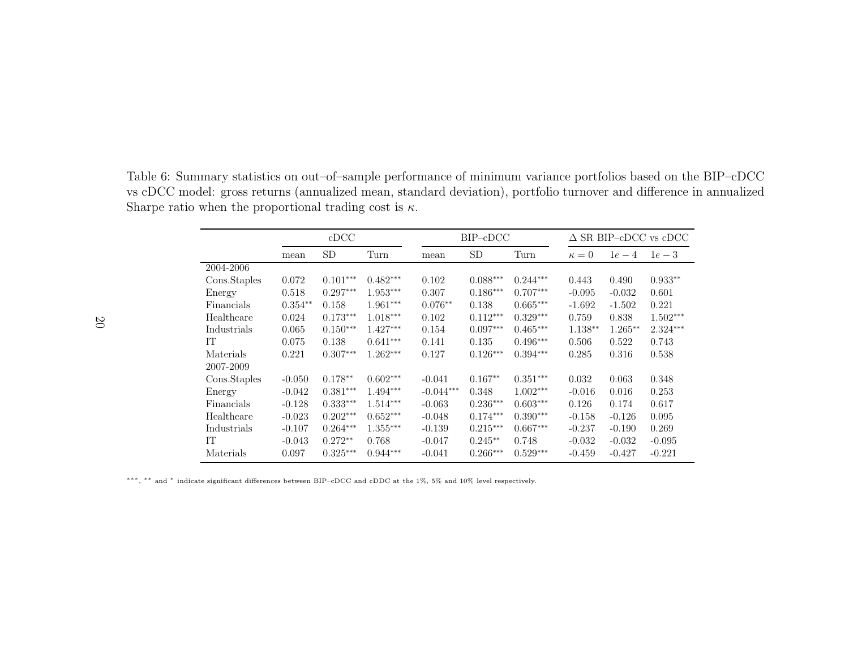Table 6: Summary statistics on out–of–sample performance of minimum variance portfolios based on the BIP–cDCC vs cDCC model: gross returns (annualized mean, standard deviation), portfolio turnover and difference in annualizedSharpe ratio when the proportional trading cost is  $\kappa$ .

|              |           | cDCC       |            |             | $BIP$ - $cDCC$ |            |            | $\Delta$ SR BIP-cDCC vs cDCC |            |  |  |
|--------------|-----------|------------|------------|-------------|----------------|------------|------------|------------------------------|------------|--|--|
|              | mean      | SD.        | Turn       | mean        | <b>SD</b>      | Turn       | $\kappa=0$ | $1e-4$                       | $1e-3$     |  |  |
| 2004-2006    |           |            |            |             |                |            |            |                              |            |  |  |
| Cons.Staples | 0.072     | $0.101***$ | $0.482***$ | 0.102       | $0.088***$     | $0.244***$ | 0.443      | 0.490                        | $0.933**$  |  |  |
| Energy       | 0.518     | $0.297***$ | $1.953***$ | 0.307       | $0.186***$     | $0.707***$ | $-0.095$   | $-0.032$                     | 0.601      |  |  |
| Financials   | $0.354**$ | 0.158      | $1.961***$ | $0.076**$   | 0.138          | $0.665***$ | $-1.692$   | $-1.502$                     | 0.221      |  |  |
| Healthcare   | 0.024     | $0.173***$ | $1.018***$ | 0.102       | $0.112***$     | $0.329***$ | 0.759      | 0.838                        | $1.502***$ |  |  |
| Industrials  | 0.065     | $0.150***$ | $1.427***$ | 0.154       | $0.097***$     | $0.465***$ | $1.138**$  | $1.265**$                    | $2.324***$ |  |  |
| IT           | 0.075     | 0.138      | $0.641***$ | 0.141       | 0.135          | $0.496***$ | 0.506      | 0.522                        | 0.743      |  |  |
| Materials    | 0.221     | $0.307***$ | $1.262***$ | 0.127       | $0.126***$     | $0.394***$ | 0.285      | 0.316                        | 0.538      |  |  |
| 2007-2009    |           |            |            |             |                |            |            |                              |            |  |  |
| Cons.Staples | $-0.050$  | $0.178**$  | $0.602***$ | $-0.041$    | $0.167**$      | $0.351***$ | 0.032      | 0.063                        | 0.348      |  |  |
| Energy       | $-0.042$  | $0.381***$ | $1.494***$ | $-0.044***$ | 0.348          | $1.002***$ | $-0.016$   | 0.016                        | 0.253      |  |  |
| Financials   | $-0.128$  | $0.333***$ | $1.514***$ | $-0.063$    | $0.236***$     | $0.603***$ | 0.126      | 0.174                        | 0.617      |  |  |
| Healthcare   | $-0.023$  | $0.202***$ | $0.652***$ | $-0.048$    | $0.174***$     | $0.390***$ | $-0.158$   | $-0.126$                     | 0.095      |  |  |
| Industrials  | $-0.107$  | $0.264***$ | $1.355***$ | $-0.139$    | $0.215***$     | $0.667***$ | $-0.237$   | $-0.190$                     | 0.269      |  |  |
| IT           | $-0.043$  | $0.272**$  | 0.768      | $-0.047$    | $0.245**$      | 0.748      | $-0.032$   | $-0.032$                     | $-0.095$   |  |  |
| Materials    | 0.097     | $0.325***$ | $0.944***$ | $-0.041$    | $0.266***$     | $0.529***$ | $-0.459$   | $-0.427$                     | $-0.221$   |  |  |

∗∗∗, ∗∗ and∗ indicate significant differences between BIP–cDCC and cDDC at the 1%, 5% and 10% level respectively.